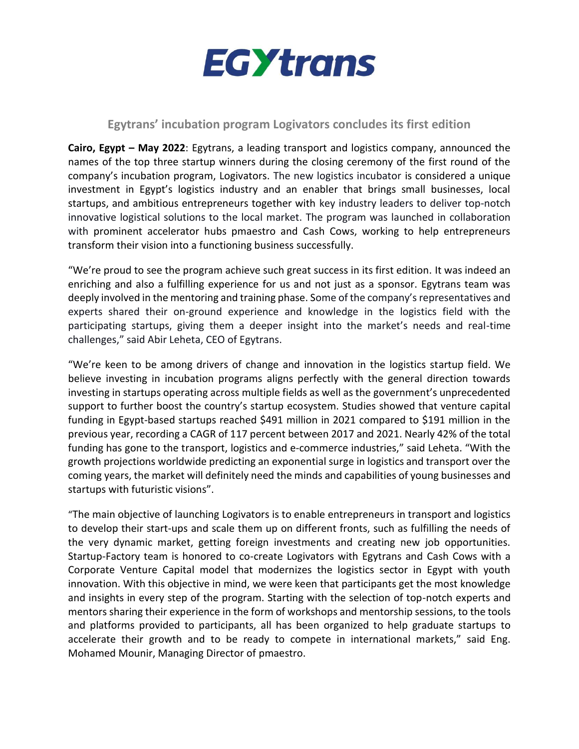

## **Egytrans' incubation program Logivators concludes its first edition**

**Cairo, Egypt – May 2022**: Egytrans, a leading transport and logistics company, announced the names of the top three startup winners during the closing ceremony of the first round of the company's incubation program, Logivators. The new logistics incubator is considered a unique investment in Egypt's logistics industry and an enabler that brings small businesses, local startups, and ambitious entrepreneurs together with key industry leaders to deliver top-notch innovative logistical solutions to the local market. The program was launched in collaboration with prominent accelerator hubs pmaestro and Cash Cows, working to help entrepreneurs transform their vision into a functioning business successfully.

"We're proud to see the program achieve such great success in its first edition. It was indeed an enriching and also a fulfilling experience for us and not just as a sponsor. Egytrans team was deeply involved in the mentoring and training phase. Some of the company's representatives and experts shared their on-ground experience and knowledge in the logistics field with the participating startups, giving them a deeper insight into the market's needs and real-time challenges," said Abir Leheta, CEO of Egytrans.

"We're keen to be among drivers of change and innovation in the logistics startup field. We believe investing in incubation programs aligns perfectly with the general direction towards investing in startups operating across multiple fields as well as the government's unprecedented support to further boost the country's startup ecosystem. Studies showed that venture capital funding in Egypt-based startups reached \$491 million in 2021 compared to \$191 million in the previous year, recording a CAGR of 117 percent between 2017 and 2021. Nearly 42% of the total funding has gone to the transport, logistics and e-commerce industries," said Leheta. "With the growth projections worldwide predicting an exponential surge in logistics and transport over the coming years, the market will definitely need the minds and capabilities of young businesses and startups with futuristic visions".

"The main objective of launching Logivators is to enable entrepreneurs in transport and logistics to develop their start-ups and scale them up on different fronts, such as fulfilling the needs of the very dynamic market, getting foreign investments and creating new job opportunities. Startup-Factory team is honored to co-create Logivators with Egytrans and Cash Cows with a Corporate Venture Capital model that modernizes the logistics sector in Egypt with youth innovation. With this objective in mind, we were keen that participants get the most knowledge and insights in every step of the program. Starting with the selection of top-notch experts and mentors sharing their experience in the form of workshops and mentorship sessions, to the tools and platforms provided to participants, all has been organized to help graduate startups to accelerate their growth and to be ready to compete in international markets," said Eng. Mohamed Mounir, Managing Director of pmaestro.